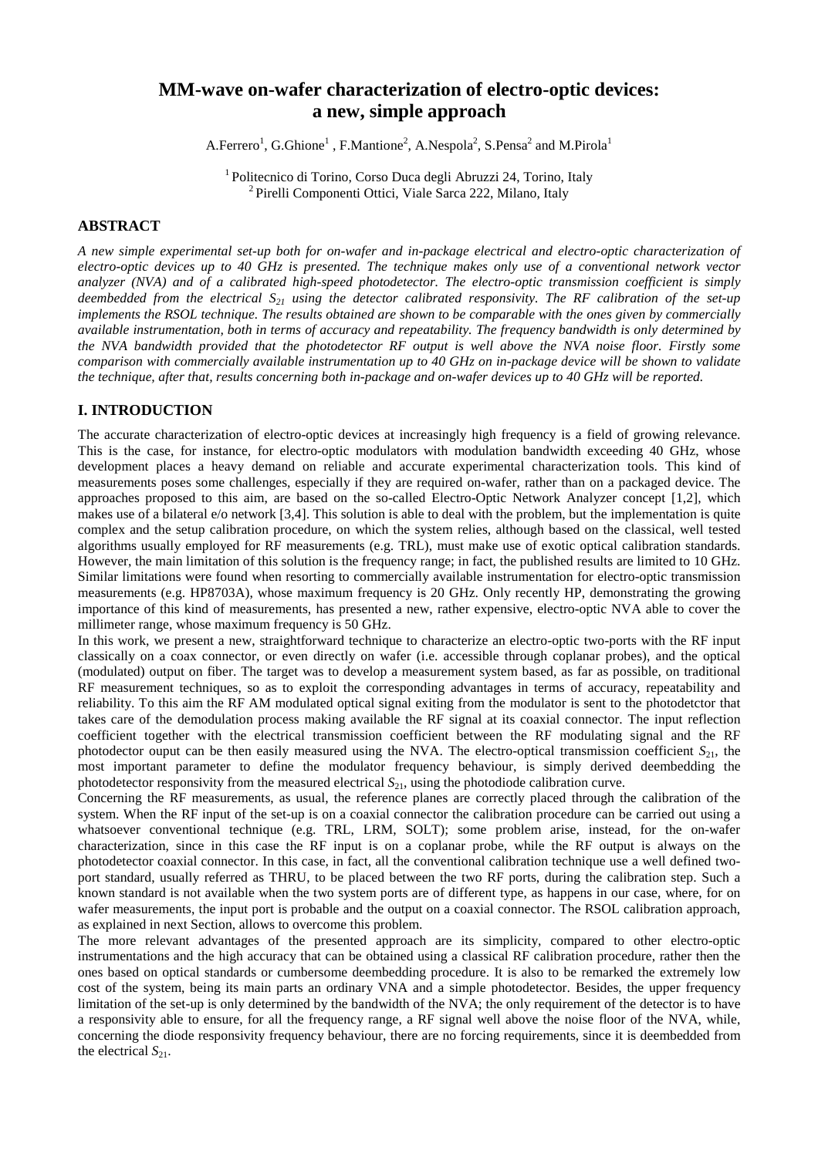## **MM-wave on-wafer characterization of electro-optic devices: a new, simple approach**

A.Ferrero<sup>1</sup>, G.Ghione<sup>1</sup>, F.Mantione<sup>2</sup>, A.Nespola<sup>2</sup>, S.Pensa<sup>2</sup> and M.Pirola<sup>1</sup>

<sup>1</sup> Politecnico di Torino, Corso Duca degli Abruzzi 24, Torino, Italy <sup>2</sup> Pirelli Componenti Ottici, Viale Sarca 222, Milano, Italy

#### **ABSTRACT**

*A new simple experimental set-up both for on-wafer and in-package electrical and electro-optic characterization of electro-optic devices up to 40 GHz is presented. The technique makes only use of a conventional network vector analyzer (NVA) and of a calibrated high-speed photodetector. The electro-optic transmission coefficient is simply deembedded from the electrical S21 using the detector calibrated responsivity. The RF calibration of the set-up implements the RSOL technique. The results obtained are shown to be comparable with the ones given by commercially available instrumentation, both in terms of accuracy and repeatability. The frequency bandwidth is only determined by the NVA bandwidth provided that the photodetector RF output is well above the NVA noise floor. Firstly some comparison with commercially available instrumentation up to 40 GHz on in-package device will be shown to validate the technique, after that, results concerning both in-package and on-wafer devices up to 40 GHz will be reported.*

### **I. INTRODUCTION**

The accurate characterization of electro-optic devices at increasingly high frequency is a field of growing relevance. This is the case, for instance, for electro-optic modulators with modulation bandwidth exceeding 40 GHz, whose development places a heavy demand on reliable and accurate experimental characterization tools. This kind of measurements poses some challenges, especially if they are required on-wafer, rather than on a packaged device. The approaches proposed to this aim, are based on the so-called Electro-Optic Network Analyzer concept [1,2], which makes use of a bilateral e/o network [3,4]. This solution is able to deal with the problem, but the implementation is quite complex and the setup calibration procedure, on which the system relies, although based on the classical, well tested algorithms usually employed for RF measurements (e.g. TRL), must make use of exotic optical calibration standards. However, the main limitation of this solution is the frequency range; in fact, the published results are limited to 10 GHz. Similar limitations were found when resorting to commercially available instrumentation for electro-optic transmission measurements (e.g. HP8703A), whose maximum frequency is 20 GHz. Only recently HP, demonstrating the growing importance of this kind of measurements, has presented a new, rather expensive, electro-optic NVA able to cover the millimeter range, whose maximum frequency is 50 GHz.

In this work, we present a new, straightforward technique to characterize an electro-optic two-ports with the RF input classically on a coax connector, or even directly on wafer (i.e. accessible through coplanar probes), and the optical (modulated) output on fiber. The target was to develop a measurement system based, as far as possible, on traditional RF measurement techniques, so as to exploit the corresponding advantages in terms of accuracy, repeatability and reliability. To this aim the RF AM modulated optical signal exiting from the modulator is sent to the photodetctor that takes care of the demodulation process making available the RF signal at its coaxial connector. The input reflection coefficient together with the electrical transmission coefficient between the RF modulating signal and the RF photodector ouput can be then easily measured using the NVA. The electro-optical transmission coefficient  $S_{21}$ , the most important parameter to define the modulator frequency behaviour, is simply derived deembedding the photodetector responsivity from the measured electrical  $S_{21}$ , using the photodiode calibration curve.

Concerning the RF measurements, as usual, the reference planes are correctly placed through the calibration of the system. When the RF input of the set-up is on a coaxial connector the calibration procedure can be carried out using a whatsoever conventional technique (e.g. TRL, LRM, SOLT); some problem arise, instead, for the on-wafer characterization, since in this case the RF input is on a coplanar probe, while the RF output is always on the photodetector coaxial connector. In this case, in fact, all the conventional calibration technique use a well defined twoport standard, usually referred as THRU, to be placed between the two RF ports, during the calibration step. Such a known standard is not available when the two system ports are of different type, as happens in our case, where, for on wafer measurements, the input port is probable and the output on a coaxial connector. The RSOL calibration approach, as explained in next Section, allows to overcome this problem.

The more relevant advantages of the presented approach are its simplicity, compared to other electro-optic instrumentations and the high accuracy that can be obtained using a classical RF calibration procedure, rather then the ones based on optical standards or cumbersome deembedding procedure. It is also to be remarked the extremely low cost of the system, being its main parts an ordinary VNA and a simple photodetector. Besides, the upper frequency limitation of the set-up is only determined by the bandwidth of the NVA; the only requirement of the detector is to have a responsivity able to ensure, for all the frequency range, a RF signal well above the noise floor of the NVA, while, concerning the diode responsivity frequency behaviour, there are no forcing requirements, since it is deembedded from the electrical  $S_{21}$ .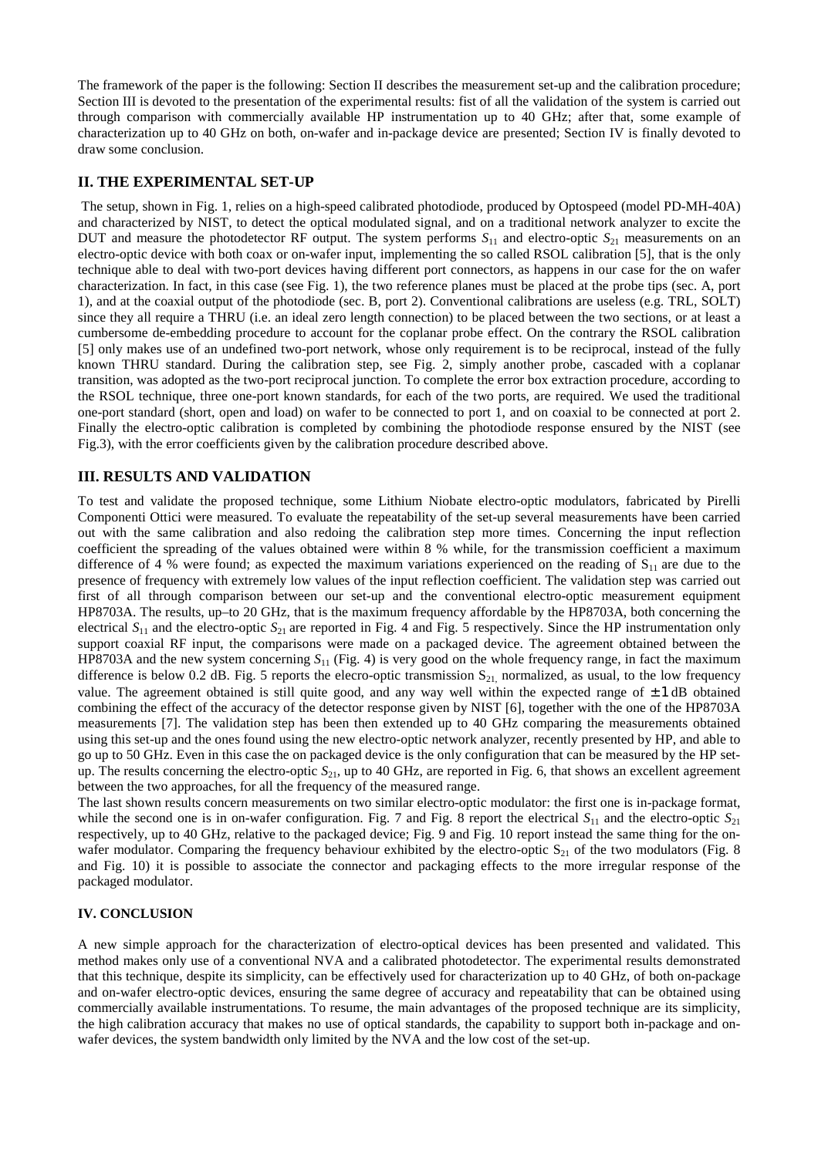The framework of the paper is the following: Section II describes the measurement set-up and the calibration procedure; Section III is devoted to the presentation of the experimental results: fist of all the validation of the system is carried out through comparison with commercially available HP instrumentation up to 40 GHz; after that, some example of characterization up to 40 GHz on both, on-wafer and in-package device are presented; Section IV is finally devoted to draw some conclusion.

### **II. THE EXPERIMENTAL SET-UP**

 The setup, shown in Fig. 1, relies on a high-speed calibrated photodiode, produced by Optospeed (model PD-MH-40A) and characterized by NIST, to detect the optical modulated signal, and on a traditional network analyzer to excite the DUT and measure the photodetector RF output. The system performs  $S_{11}$  and electro-optic  $S_{21}$  measurements on an electro-optic device with both coax or on-wafer input, implementing the so called RSOL calibration [5], that is the only technique able to deal with two-port devices having different port connectors, as happens in our case for the on wafer characterization. In fact, in this case (see Fig. 1), the two reference planes must be placed at the probe tips (sec. A, port 1), and at the coaxial output of the photodiode (sec. B, port 2). Conventional calibrations are useless (e.g. TRL, SOLT) since they all require a THRU (i.e. an ideal zero length connection) to be placed between the two sections, or at least a cumbersome de-embedding procedure to account for the coplanar probe effect. On the contrary the RSOL calibration [5] only makes use of an undefined two-port network, whose only requirement is to be reciprocal, instead of the fully known THRU standard. During the calibration step, see Fig. 2, simply another probe, cascaded with a coplanar transition, was adopted as the two-port reciprocal junction. To complete the error box extraction procedure, according to the RSOL technique, three one-port known standards, for each of the two ports, are required. We used the traditional one-port standard (short, open and load) on wafer to be connected to port 1, and on coaxial to be connected at port 2. Finally the electro-optic calibration is completed by combining the photodiode response ensured by the NIST (see Fig.3), with the error coefficients given by the calibration procedure described above.

### **III. RESULTS AND VALIDATION**

To test and validate the proposed technique, some Lithium Niobate electro-optic modulators, fabricated by Pirelli Componenti Ottici were measured. To evaluate the repeatability of the set-up several measurements have been carried out with the same calibration and also redoing the calibration step more times. Concerning the input reflection coefficient the spreading of the values obtained were within 8 % while, for the transmission coefficient a maximum difference of 4 % were found; as expected the maximum variations experienced on the reading of  $S_{11}$  are due to the presence of frequency with extremely low values of the input reflection coefficient. The validation step was carried out first of all through comparison between our set-up and the conventional electro-optic measurement equipment HP8703A. The results, up–to 20 GHz, that is the maximum frequency affordable by the HP8703A, both concerning the electrical  $S_{11}$  and the electro-optic  $S_{21}$  are reported in Fig. 4 and Fig. 5 respectively. Since the HP instrumentation only support coaxial RF input, the comparisons were made on a packaged device. The agreement obtained between the HP8703A and the new system concerning *S*11 (Fig. 4) is very good on the whole frequency range, in fact the maximum difference is below 0.2 dB. Fig. 5 reports the elecro-optic transmission  $S_{21}$  normalized, as usual, to the low frequency value. The agreement obtained is still quite good, and any way well within the expected range of  $\pm 1$  dB obtained combining the effect of the accuracy of the detector response given by NIST [6], together with the one of the HP8703A measurements [7]. The validation step has been then extended up to 40 GHz comparing the measurements obtained using this set-up and the ones found using the new electro-optic network analyzer, recently presented by HP, and able to go up to 50 GHz. Even in this case the on packaged device is the only configuration that can be measured by the HP setup. The results concerning the electro-optic  $S_{21}$ , up to 40 GHz, are reported in Fig. 6, that shows an excellent agreement between the two approaches, for all the frequency of the measured range.

The last shown results concern measurements on two similar electro-optic modulator: the first one is in-package format, while the second one is in on-wafer configuration. Fig. 7 and Fig. 8 report the electrical  $S_{11}$  and the electro-optic  $S_{21}$ respectively, up to 40 GHz, relative to the packaged device; Fig. 9 and Fig. 10 report instead the same thing for the onwafer modulator. Comparing the frequency behaviour exhibited by the electro-optic  $S_{21}$  of the two modulators (Fig. 8) and Fig. 10) it is possible to associate the connector and packaging effects to the more irregular response of the packaged modulator.

#### **IV. CONCLUSION**

A new simple approach for the characterization of electro-optical devices has been presented and validated. This method makes only use of a conventional NVA and a calibrated photodetector. The experimental results demonstrated that this technique, despite its simplicity, can be effectively used for characterization up to 40 GHz, of both on-package and on-wafer electro-optic devices, ensuring the same degree of accuracy and repeatability that can be obtained using commercially available instrumentations. To resume, the main advantages of the proposed technique are its simplicity, the high calibration accuracy that makes no use of optical standards, the capability to support both in-package and onwafer devices, the system bandwidth only limited by the NVA and the low cost of the set-up.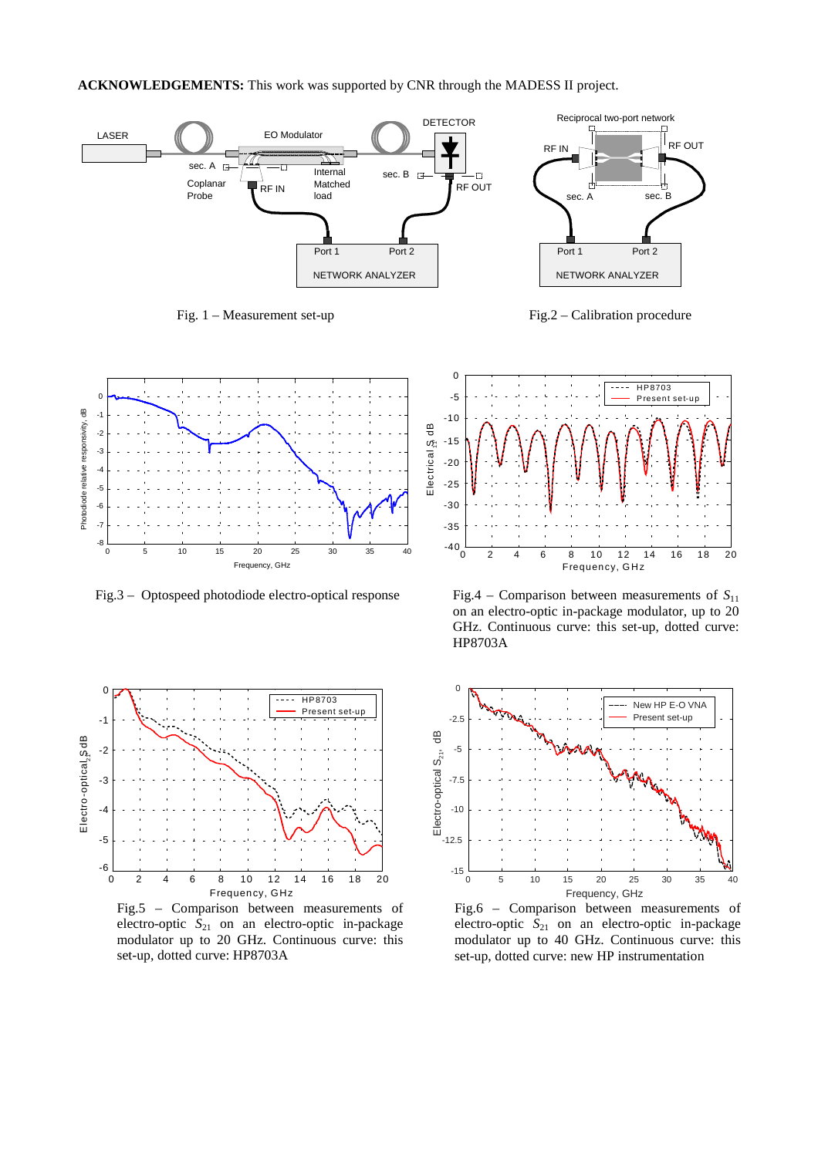**ACKNOWLEDGEMENTS:** This work was supported by CNR through the MADESS II project.



Fig. 1 – Measurement set-up Fig.2 – Calibration procedure





Fig.5 – Comparison between measurements of electro-optic *S*<sub>21</sub> on an electro-optic in-package modulator up to 20 GHz. Continuous curve: this set-up, dotted curve: HP8703A



Fig.3 – Optospeed photodiode electro-optical response Fig.4 – Comparison between measurements of *S*<sup>11</sup> on an electro-optic in-package modulator, up to 20 GHz. Continuous curve: this set-up, dotted curve: HP8703A



Fig.6 – Comparison between measurements of electro-optic *S*<sub>21</sub> on an electro-optic in-package modulator up to 40 GHz. Continuous curve: this set-up, dotted curve: new HP instrumentation